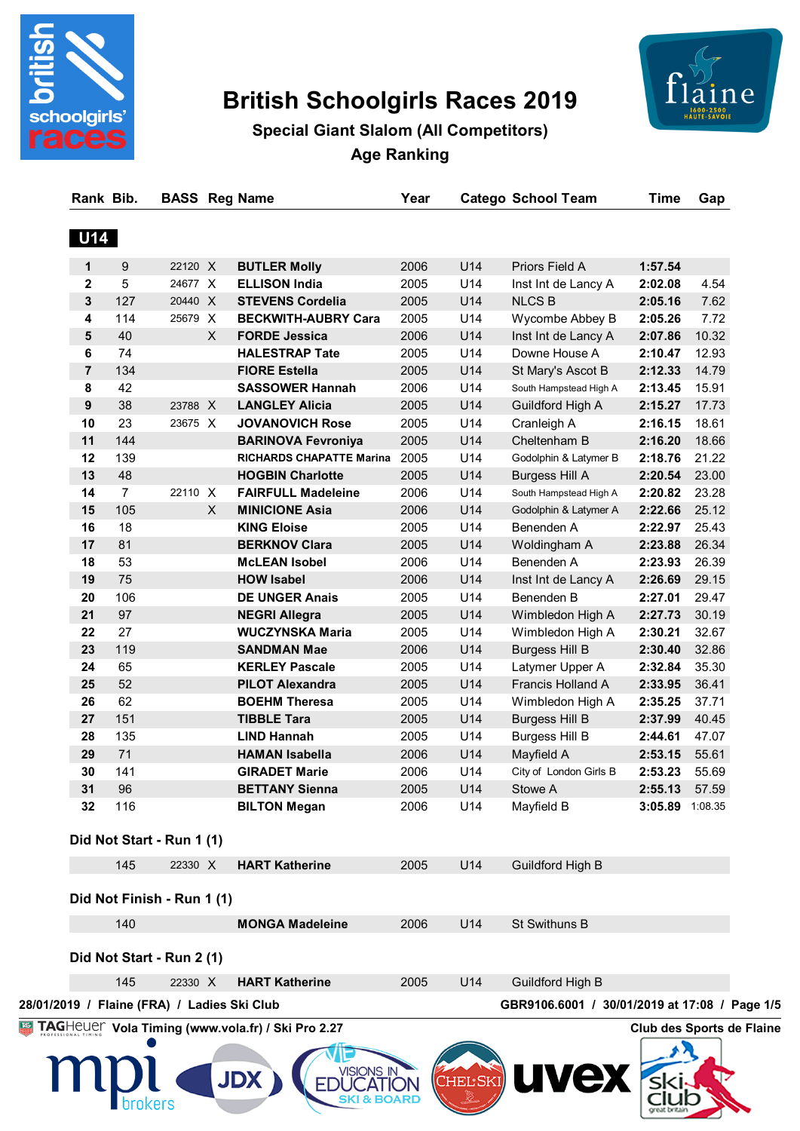

# **British Schoolgirls Races 2019**



**Special Giant Slalom (All Competitors) Age Ranking**

| <b>U14</b><br>U14<br>9<br>22120 X<br><b>BUTLER Molly</b><br>Priors Field A<br>1<br>2006<br>5<br>U14<br>$\mathbf{2}$<br>24677 X<br><b>ELLISON India</b><br>2005<br>Inst Int de Lancy A<br>3<br>127<br>U14<br>20440 X<br><b>STEVENS Cordelia</b><br>2005<br><b>NLCS B</b><br>U14<br>114<br>4<br>25679 X<br><b>BECKWITH-AUBRY Cara</b><br>2005<br>Wycombe Abbey B<br>5<br>40<br>U14<br>X<br><b>FORDE Jessica</b><br>2006<br>Inst Int de Lancy A<br>74<br>U14<br>Downe House A<br>6<br><b>HALESTRAP Tate</b><br>2005<br>U14<br>$\overline{7}$<br>134<br><b>FIORE Estella</b><br>2005<br>St Mary's Ascot B<br>42<br>U14<br>8<br><b>SASSOWER Hannah</b><br>South Hampstead High A<br>2006<br>38<br>U14<br>9<br>23788 X<br><b>LANGLEY Alicia</b><br>2005<br>Guildford High A<br>U14<br>23<br>10<br>23675 X<br><b>JOVANOVICH Rose</b><br>2005<br>Cranleigh A<br>11<br>144<br>2005<br>U14<br>Cheltenham B<br><b>BARINOVA Fevroniya</b><br>12<br>139<br>U14<br><b>RICHARDS CHAPATTE Marina</b><br>2005<br>Godolphin & Latymer B<br>13<br>48<br>U14<br><b>HOGBIN Charlotte</b><br>2005<br><b>Burgess Hill A</b><br>U14<br>14<br>$\overline{7}$<br>22110 X<br><b>FAIRFULL Madeleine</b><br>2006<br>South Hampstead High A<br>U14<br>15<br>105<br>X<br><b>MINICIONE Asia</b><br>2006<br>Godolphin & Latymer A<br>U14<br>18<br><b>KING Eloise</b><br>Benenden A<br>16<br>2005<br>17<br>81<br>U14<br><b>BERKNOV Clara</b><br>2005<br>Woldingham A<br>U14<br>18<br>53<br>Benenden A<br><b>McLEAN Isobel</b><br>2006<br>75<br>19<br>U14<br><b>HOW Isabel</b><br>2006<br>Inst Int de Lancy A<br>U14<br>20<br>106<br><b>DE UNGER Anais</b><br>Benenden B<br>2005<br>21<br>97<br>U14<br><b>NEGRI Allegra</b><br>2005<br>Wimbledon High A<br>22<br>27<br><b>WUCZYNSKA Maria</b><br>U14<br>2005<br>Wimbledon High A<br>23<br>119<br>U14<br><b>SANDMAN Mae</b><br>2006<br><b>Burgess Hill B</b><br>24<br>65<br>U14<br><b>KERLEY Pascale</b><br>2005<br>Latymer Upper A<br>25<br>52<br>U14<br>Francis Holland A<br><b>PILOT Alexandra</b><br>2005<br>U14<br>26<br>62<br><b>BOEHM Theresa</b><br>2005<br>Wimbledon High A<br>27<br>151<br>U14<br><b>TIBBLE Tara</b><br>2005<br><b>Burgess Hill B</b><br>28<br>135<br>U14<br><b>LIND Hannah</b><br>2005<br><b>Burgess Hill B</b><br>29<br>71<br>U14<br><b>HAMAN Isabella</b><br>2006<br>Mayfield A<br>141<br>30<br>U14<br><b>GIRADET Marie</b><br>2006<br>City of London Girls B<br>31<br>96<br>2005<br>U14<br><b>BETTANY Sienna</b><br>Stowe A<br>32<br>116<br><b>BILTON Megan</b><br>2006<br>U14<br>Mayfield B<br>145<br>22330 X<br><b>HART Katherine</b><br>2005<br>U14<br>Guildford High B | 1:57.54<br>2:02.08<br>2:05.16<br>2:05.26<br>2:07.86<br>2:10.47<br>2:12.33<br>2:13.45<br>2:15.27<br>2:16.15<br>2:16.20<br>2:18.76<br>2:20.54<br>2:20.82<br>2:22.66<br>2:22.97<br>2:23.88<br>2:23.93<br>2:26.69<br>2:27.01<br>2:27.73 | 4.54<br>7.62<br>7.72<br>10.32<br>12.93<br>14.79<br>15.91<br>17.73<br>18.61<br>18.66<br>21.22<br>23.00<br>23.28<br>25.12<br>25.43 |
|----------------------------------------------------------------------------------------------------------------------------------------------------------------------------------------------------------------------------------------------------------------------------------------------------------------------------------------------------------------------------------------------------------------------------------------------------------------------------------------------------------------------------------------------------------------------------------------------------------------------------------------------------------------------------------------------------------------------------------------------------------------------------------------------------------------------------------------------------------------------------------------------------------------------------------------------------------------------------------------------------------------------------------------------------------------------------------------------------------------------------------------------------------------------------------------------------------------------------------------------------------------------------------------------------------------------------------------------------------------------------------------------------------------------------------------------------------------------------------------------------------------------------------------------------------------------------------------------------------------------------------------------------------------------------------------------------------------------------------------------------------------------------------------------------------------------------------------------------------------------------------------------------------------------------------------------------------------------------------------------------------------------------------------------------------------------------------------------------------------------------------------------------------------------------------------------------------------------------------------------------------------------------------------------------------------------------------------------------------------------------------------------------------------------------------------------------------------------------------------------------------------------------------------------------------------------------------------------------------------------|-------------------------------------------------------------------------------------------------------------------------------------------------------------------------------------------------------------------------------------|----------------------------------------------------------------------------------------------------------------------------------|
|                                                                                                                                                                                                                                                                                                                                                                                                                                                                                                                                                                                                                                                                                                                                                                                                                                                                                                                                                                                                                                                                                                                                                                                                                                                                                                                                                                                                                                                                                                                                                                                                                                                                                                                                                                                                                                                                                                                                                                                                                                                                                                                                                                                                                                                                                                                                                                                                                                                                                                                                                                                                                      |                                                                                                                                                                                                                                     |                                                                                                                                  |
|                                                                                                                                                                                                                                                                                                                                                                                                                                                                                                                                                                                                                                                                                                                                                                                                                                                                                                                                                                                                                                                                                                                                                                                                                                                                                                                                                                                                                                                                                                                                                                                                                                                                                                                                                                                                                                                                                                                                                                                                                                                                                                                                                                                                                                                                                                                                                                                                                                                                                                                                                                                                                      |                                                                                                                                                                                                                                     |                                                                                                                                  |
|                                                                                                                                                                                                                                                                                                                                                                                                                                                                                                                                                                                                                                                                                                                                                                                                                                                                                                                                                                                                                                                                                                                                                                                                                                                                                                                                                                                                                                                                                                                                                                                                                                                                                                                                                                                                                                                                                                                                                                                                                                                                                                                                                                                                                                                                                                                                                                                                                                                                                                                                                                                                                      |                                                                                                                                                                                                                                     |                                                                                                                                  |
|                                                                                                                                                                                                                                                                                                                                                                                                                                                                                                                                                                                                                                                                                                                                                                                                                                                                                                                                                                                                                                                                                                                                                                                                                                                                                                                                                                                                                                                                                                                                                                                                                                                                                                                                                                                                                                                                                                                                                                                                                                                                                                                                                                                                                                                                                                                                                                                                                                                                                                                                                                                                                      |                                                                                                                                                                                                                                     |                                                                                                                                  |
|                                                                                                                                                                                                                                                                                                                                                                                                                                                                                                                                                                                                                                                                                                                                                                                                                                                                                                                                                                                                                                                                                                                                                                                                                                                                                                                                                                                                                                                                                                                                                                                                                                                                                                                                                                                                                                                                                                                                                                                                                                                                                                                                                                                                                                                                                                                                                                                                                                                                                                                                                                                                                      |                                                                                                                                                                                                                                     |                                                                                                                                  |
|                                                                                                                                                                                                                                                                                                                                                                                                                                                                                                                                                                                                                                                                                                                                                                                                                                                                                                                                                                                                                                                                                                                                                                                                                                                                                                                                                                                                                                                                                                                                                                                                                                                                                                                                                                                                                                                                                                                                                                                                                                                                                                                                                                                                                                                                                                                                                                                                                                                                                                                                                                                                                      |                                                                                                                                                                                                                                     |                                                                                                                                  |
|                                                                                                                                                                                                                                                                                                                                                                                                                                                                                                                                                                                                                                                                                                                                                                                                                                                                                                                                                                                                                                                                                                                                                                                                                                                                                                                                                                                                                                                                                                                                                                                                                                                                                                                                                                                                                                                                                                                                                                                                                                                                                                                                                                                                                                                                                                                                                                                                                                                                                                                                                                                                                      |                                                                                                                                                                                                                                     |                                                                                                                                  |
|                                                                                                                                                                                                                                                                                                                                                                                                                                                                                                                                                                                                                                                                                                                                                                                                                                                                                                                                                                                                                                                                                                                                                                                                                                                                                                                                                                                                                                                                                                                                                                                                                                                                                                                                                                                                                                                                                                                                                                                                                                                                                                                                                                                                                                                                                                                                                                                                                                                                                                                                                                                                                      |                                                                                                                                                                                                                                     |                                                                                                                                  |
|                                                                                                                                                                                                                                                                                                                                                                                                                                                                                                                                                                                                                                                                                                                                                                                                                                                                                                                                                                                                                                                                                                                                                                                                                                                                                                                                                                                                                                                                                                                                                                                                                                                                                                                                                                                                                                                                                                                                                                                                                                                                                                                                                                                                                                                                                                                                                                                                                                                                                                                                                                                                                      |                                                                                                                                                                                                                                     |                                                                                                                                  |
|                                                                                                                                                                                                                                                                                                                                                                                                                                                                                                                                                                                                                                                                                                                                                                                                                                                                                                                                                                                                                                                                                                                                                                                                                                                                                                                                                                                                                                                                                                                                                                                                                                                                                                                                                                                                                                                                                                                                                                                                                                                                                                                                                                                                                                                                                                                                                                                                                                                                                                                                                                                                                      |                                                                                                                                                                                                                                     |                                                                                                                                  |
|                                                                                                                                                                                                                                                                                                                                                                                                                                                                                                                                                                                                                                                                                                                                                                                                                                                                                                                                                                                                                                                                                                                                                                                                                                                                                                                                                                                                                                                                                                                                                                                                                                                                                                                                                                                                                                                                                                                                                                                                                                                                                                                                                                                                                                                                                                                                                                                                                                                                                                                                                                                                                      |                                                                                                                                                                                                                                     |                                                                                                                                  |
|                                                                                                                                                                                                                                                                                                                                                                                                                                                                                                                                                                                                                                                                                                                                                                                                                                                                                                                                                                                                                                                                                                                                                                                                                                                                                                                                                                                                                                                                                                                                                                                                                                                                                                                                                                                                                                                                                                                                                                                                                                                                                                                                                                                                                                                                                                                                                                                                                                                                                                                                                                                                                      |                                                                                                                                                                                                                                     |                                                                                                                                  |
|                                                                                                                                                                                                                                                                                                                                                                                                                                                                                                                                                                                                                                                                                                                                                                                                                                                                                                                                                                                                                                                                                                                                                                                                                                                                                                                                                                                                                                                                                                                                                                                                                                                                                                                                                                                                                                                                                                                                                                                                                                                                                                                                                                                                                                                                                                                                                                                                                                                                                                                                                                                                                      |                                                                                                                                                                                                                                     |                                                                                                                                  |
|                                                                                                                                                                                                                                                                                                                                                                                                                                                                                                                                                                                                                                                                                                                                                                                                                                                                                                                                                                                                                                                                                                                                                                                                                                                                                                                                                                                                                                                                                                                                                                                                                                                                                                                                                                                                                                                                                                                                                                                                                                                                                                                                                                                                                                                                                                                                                                                                                                                                                                                                                                                                                      |                                                                                                                                                                                                                                     |                                                                                                                                  |
|                                                                                                                                                                                                                                                                                                                                                                                                                                                                                                                                                                                                                                                                                                                                                                                                                                                                                                                                                                                                                                                                                                                                                                                                                                                                                                                                                                                                                                                                                                                                                                                                                                                                                                                                                                                                                                                                                                                                                                                                                                                                                                                                                                                                                                                                                                                                                                                                                                                                                                                                                                                                                      |                                                                                                                                                                                                                                     |                                                                                                                                  |
|                                                                                                                                                                                                                                                                                                                                                                                                                                                                                                                                                                                                                                                                                                                                                                                                                                                                                                                                                                                                                                                                                                                                                                                                                                                                                                                                                                                                                                                                                                                                                                                                                                                                                                                                                                                                                                                                                                                                                                                                                                                                                                                                                                                                                                                                                                                                                                                                                                                                                                                                                                                                                      |                                                                                                                                                                                                                                     |                                                                                                                                  |
|                                                                                                                                                                                                                                                                                                                                                                                                                                                                                                                                                                                                                                                                                                                                                                                                                                                                                                                                                                                                                                                                                                                                                                                                                                                                                                                                                                                                                                                                                                                                                                                                                                                                                                                                                                                                                                                                                                                                                                                                                                                                                                                                                                                                                                                                                                                                                                                                                                                                                                                                                                                                                      |                                                                                                                                                                                                                                     |                                                                                                                                  |
|                                                                                                                                                                                                                                                                                                                                                                                                                                                                                                                                                                                                                                                                                                                                                                                                                                                                                                                                                                                                                                                                                                                                                                                                                                                                                                                                                                                                                                                                                                                                                                                                                                                                                                                                                                                                                                                                                                                                                                                                                                                                                                                                                                                                                                                                                                                                                                                                                                                                                                                                                                                                                      |                                                                                                                                                                                                                                     |                                                                                                                                  |
| Did Not Start - Run 1 (1)                                                                                                                                                                                                                                                                                                                                                                                                                                                                                                                                                                                                                                                                                                                                                                                                                                                                                                                                                                                                                                                                                                                                                                                                                                                                                                                                                                                                                                                                                                                                                                                                                                                                                                                                                                                                                                                                                                                                                                                                                                                                                                                                                                                                                                                                                                                                                                                                                                                                                                                                                                                            |                                                                                                                                                                                                                                     | 26.34                                                                                                                            |
|                                                                                                                                                                                                                                                                                                                                                                                                                                                                                                                                                                                                                                                                                                                                                                                                                                                                                                                                                                                                                                                                                                                                                                                                                                                                                                                                                                                                                                                                                                                                                                                                                                                                                                                                                                                                                                                                                                                                                                                                                                                                                                                                                                                                                                                                                                                                                                                                                                                                                                                                                                                                                      |                                                                                                                                                                                                                                     | 26.39                                                                                                                            |
|                                                                                                                                                                                                                                                                                                                                                                                                                                                                                                                                                                                                                                                                                                                                                                                                                                                                                                                                                                                                                                                                                                                                                                                                                                                                                                                                                                                                                                                                                                                                                                                                                                                                                                                                                                                                                                                                                                                                                                                                                                                                                                                                                                                                                                                                                                                                                                                                                                                                                                                                                                                                                      |                                                                                                                                                                                                                                     | 29.15                                                                                                                            |
|                                                                                                                                                                                                                                                                                                                                                                                                                                                                                                                                                                                                                                                                                                                                                                                                                                                                                                                                                                                                                                                                                                                                                                                                                                                                                                                                                                                                                                                                                                                                                                                                                                                                                                                                                                                                                                                                                                                                                                                                                                                                                                                                                                                                                                                                                                                                                                                                                                                                                                                                                                                                                      |                                                                                                                                                                                                                                     | 29.47                                                                                                                            |
|                                                                                                                                                                                                                                                                                                                                                                                                                                                                                                                                                                                                                                                                                                                                                                                                                                                                                                                                                                                                                                                                                                                                                                                                                                                                                                                                                                                                                                                                                                                                                                                                                                                                                                                                                                                                                                                                                                                                                                                                                                                                                                                                                                                                                                                                                                                                                                                                                                                                                                                                                                                                                      |                                                                                                                                                                                                                                     | 30.19                                                                                                                            |
|                                                                                                                                                                                                                                                                                                                                                                                                                                                                                                                                                                                                                                                                                                                                                                                                                                                                                                                                                                                                                                                                                                                                                                                                                                                                                                                                                                                                                                                                                                                                                                                                                                                                                                                                                                                                                                                                                                                                                                                                                                                                                                                                                                                                                                                                                                                                                                                                                                                                                                                                                                                                                      | 2:30.21                                                                                                                                                                                                                             | 32.67                                                                                                                            |
|                                                                                                                                                                                                                                                                                                                                                                                                                                                                                                                                                                                                                                                                                                                                                                                                                                                                                                                                                                                                                                                                                                                                                                                                                                                                                                                                                                                                                                                                                                                                                                                                                                                                                                                                                                                                                                                                                                                                                                                                                                                                                                                                                                                                                                                                                                                                                                                                                                                                                                                                                                                                                      | 2:30.40                                                                                                                                                                                                                             | 32.86                                                                                                                            |
|                                                                                                                                                                                                                                                                                                                                                                                                                                                                                                                                                                                                                                                                                                                                                                                                                                                                                                                                                                                                                                                                                                                                                                                                                                                                                                                                                                                                                                                                                                                                                                                                                                                                                                                                                                                                                                                                                                                                                                                                                                                                                                                                                                                                                                                                                                                                                                                                                                                                                                                                                                                                                      | 2:32.84                                                                                                                                                                                                                             | 35.30                                                                                                                            |
|                                                                                                                                                                                                                                                                                                                                                                                                                                                                                                                                                                                                                                                                                                                                                                                                                                                                                                                                                                                                                                                                                                                                                                                                                                                                                                                                                                                                                                                                                                                                                                                                                                                                                                                                                                                                                                                                                                                                                                                                                                                                                                                                                                                                                                                                                                                                                                                                                                                                                                                                                                                                                      | 2:33.95                                                                                                                                                                                                                             | 36.41                                                                                                                            |
|                                                                                                                                                                                                                                                                                                                                                                                                                                                                                                                                                                                                                                                                                                                                                                                                                                                                                                                                                                                                                                                                                                                                                                                                                                                                                                                                                                                                                                                                                                                                                                                                                                                                                                                                                                                                                                                                                                                                                                                                                                                                                                                                                                                                                                                                                                                                                                                                                                                                                                                                                                                                                      | 2:35.25                                                                                                                                                                                                                             | 37.71                                                                                                                            |
|                                                                                                                                                                                                                                                                                                                                                                                                                                                                                                                                                                                                                                                                                                                                                                                                                                                                                                                                                                                                                                                                                                                                                                                                                                                                                                                                                                                                                                                                                                                                                                                                                                                                                                                                                                                                                                                                                                                                                                                                                                                                                                                                                                                                                                                                                                                                                                                                                                                                                                                                                                                                                      | 2:37.99                                                                                                                                                                                                                             | 40.45                                                                                                                            |
|                                                                                                                                                                                                                                                                                                                                                                                                                                                                                                                                                                                                                                                                                                                                                                                                                                                                                                                                                                                                                                                                                                                                                                                                                                                                                                                                                                                                                                                                                                                                                                                                                                                                                                                                                                                                                                                                                                                                                                                                                                                                                                                                                                                                                                                                                                                                                                                                                                                                                                                                                                                                                      | 2:44.61                                                                                                                                                                                                                             | 47.07                                                                                                                            |
|                                                                                                                                                                                                                                                                                                                                                                                                                                                                                                                                                                                                                                                                                                                                                                                                                                                                                                                                                                                                                                                                                                                                                                                                                                                                                                                                                                                                                                                                                                                                                                                                                                                                                                                                                                                                                                                                                                                                                                                                                                                                                                                                                                                                                                                                                                                                                                                                                                                                                                                                                                                                                      | 2:53.15                                                                                                                                                                                                                             | 55.61                                                                                                                            |
|                                                                                                                                                                                                                                                                                                                                                                                                                                                                                                                                                                                                                                                                                                                                                                                                                                                                                                                                                                                                                                                                                                                                                                                                                                                                                                                                                                                                                                                                                                                                                                                                                                                                                                                                                                                                                                                                                                                                                                                                                                                                                                                                                                                                                                                                                                                                                                                                                                                                                                                                                                                                                      | 2:53.23                                                                                                                                                                                                                             | 55.69                                                                                                                            |
|                                                                                                                                                                                                                                                                                                                                                                                                                                                                                                                                                                                                                                                                                                                                                                                                                                                                                                                                                                                                                                                                                                                                                                                                                                                                                                                                                                                                                                                                                                                                                                                                                                                                                                                                                                                                                                                                                                                                                                                                                                                                                                                                                                                                                                                                                                                                                                                                                                                                                                                                                                                                                      | 2:55.13 57.59                                                                                                                                                                                                                       |                                                                                                                                  |
|                                                                                                                                                                                                                                                                                                                                                                                                                                                                                                                                                                                                                                                                                                                                                                                                                                                                                                                                                                                                                                                                                                                                                                                                                                                                                                                                                                                                                                                                                                                                                                                                                                                                                                                                                                                                                                                                                                                                                                                                                                                                                                                                                                                                                                                                                                                                                                                                                                                                                                                                                                                                                      | 3:05.89 1:08.35                                                                                                                                                                                                                     |                                                                                                                                  |
|                                                                                                                                                                                                                                                                                                                                                                                                                                                                                                                                                                                                                                                                                                                                                                                                                                                                                                                                                                                                                                                                                                                                                                                                                                                                                                                                                                                                                                                                                                                                                                                                                                                                                                                                                                                                                                                                                                                                                                                                                                                                                                                                                                                                                                                                                                                                                                                                                                                                                                                                                                                                                      |                                                                                                                                                                                                                                     |                                                                                                                                  |
|                                                                                                                                                                                                                                                                                                                                                                                                                                                                                                                                                                                                                                                                                                                                                                                                                                                                                                                                                                                                                                                                                                                                                                                                                                                                                                                                                                                                                                                                                                                                                                                                                                                                                                                                                                                                                                                                                                                                                                                                                                                                                                                                                                                                                                                                                                                                                                                                                                                                                                                                                                                                                      |                                                                                                                                                                                                                                     |                                                                                                                                  |
| Did Not Finish - Run 1 (1)                                                                                                                                                                                                                                                                                                                                                                                                                                                                                                                                                                                                                                                                                                                                                                                                                                                                                                                                                                                                                                                                                                                                                                                                                                                                                                                                                                                                                                                                                                                                                                                                                                                                                                                                                                                                                                                                                                                                                                                                                                                                                                                                                                                                                                                                                                                                                                                                                                                                                                                                                                                           |                                                                                                                                                                                                                                     |                                                                                                                                  |
| 140<br>U14<br><b>MONGA Madeleine</b><br>2006<br>St Swithuns B                                                                                                                                                                                                                                                                                                                                                                                                                                                                                                                                                                                                                                                                                                                                                                                                                                                                                                                                                                                                                                                                                                                                                                                                                                                                                                                                                                                                                                                                                                                                                                                                                                                                                                                                                                                                                                                                                                                                                                                                                                                                                                                                                                                                                                                                                                                                                                                                                                                                                                                                                        |                                                                                                                                                                                                                                     |                                                                                                                                  |
|                                                                                                                                                                                                                                                                                                                                                                                                                                                                                                                                                                                                                                                                                                                                                                                                                                                                                                                                                                                                                                                                                                                                                                                                                                                                                                                                                                                                                                                                                                                                                                                                                                                                                                                                                                                                                                                                                                                                                                                                                                                                                                                                                                                                                                                                                                                                                                                                                                                                                                                                                                                                                      |                                                                                                                                                                                                                                     |                                                                                                                                  |
| Did Not Start - Run 2 (1)<br>145<br>22330 X<br><b>HART Katherine</b><br>2005<br>U14<br>Guildford High B                                                                                                                                                                                                                                                                                                                                                                                                                                                                                                                                                                                                                                                                                                                                                                                                                                                                                                                                                                                                                                                                                                                                                                                                                                                                                                                                                                                                                                                                                                                                                                                                                                                                                                                                                                                                                                                                                                                                                                                                                                                                                                                                                                                                                                                                                                                                                                                                                                                                                                              |                                                                                                                                                                                                                                     |                                                                                                                                  |
|                                                                                                                                                                                                                                                                                                                                                                                                                                                                                                                                                                                                                                                                                                                                                                                                                                                                                                                                                                                                                                                                                                                                                                                                                                                                                                                                                                                                                                                                                                                                                                                                                                                                                                                                                                                                                                                                                                                                                                                                                                                                                                                                                                                                                                                                                                                                                                                                                                                                                                                                                                                                                      |                                                                                                                                                                                                                                     |                                                                                                                                  |
| 28/01/2019 / Flaine (FRA) / Ladies Ski Club<br>GBR9106.6001 / 30/01/2019 at 17:08 / Page 1/5                                                                                                                                                                                                                                                                                                                                                                                                                                                                                                                                                                                                                                                                                                                                                                                                                                                                                                                                                                                                                                                                                                                                                                                                                                                                                                                                                                                                                                                                                                                                                                                                                                                                                                                                                                                                                                                                                                                                                                                                                                                                                                                                                                                                                                                                                                                                                                                                                                                                                                                         |                                                                                                                                                                                                                                     |                                                                                                                                  |
| TAGHeuer Vola Timing (www.vola.fr) / Ski Pro 2.27<br><b>uvex</b><br><b>VISIONS IN</b><br><b>JDX</b><br><b>CHEL'SKI</b><br>SKI & BOARD<br>brokers                                                                                                                                                                                                                                                                                                                                                                                                                                                                                                                                                                                                                                                                                                                                                                                                                                                                                                                                                                                                                                                                                                                                                                                                                                                                                                                                                                                                                                                                                                                                                                                                                                                                                                                                                                                                                                                                                                                                                                                                                                                                                                                                                                                                                                                                                                                                                                                                                                                                     | Club des Sports de Flaine                                                                                                                                                                                                           |                                                                                                                                  |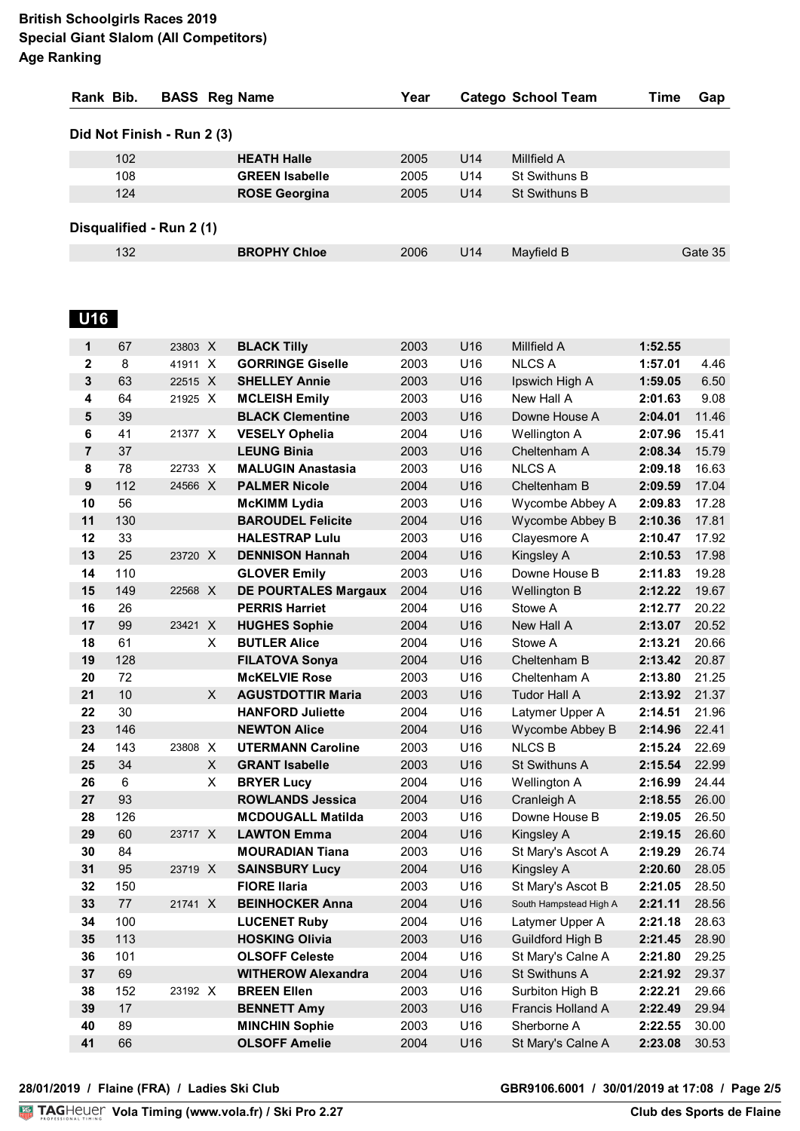| Rank Bib.                  | <b>BASS</b> Reg Name  | Year |                 | <b>Catego School Team</b> | Time | Gap     |
|----------------------------|-----------------------|------|-----------------|---------------------------|------|---------|
| Did Not Finish - Run 2 (3) |                       |      |                 |                           |      |         |
| 102                        | <b>HEATH Halle</b>    | 2005 | U <sub>14</sub> | Millfield A               |      |         |
| 108                        | <b>GREEN Isabelle</b> | 2005 | U14             | <b>St Swithuns B</b>      |      |         |
| 124                        | <b>ROSE Georgina</b>  | 2005 | U <sub>14</sub> | <b>St Swithuns B</b>      |      |         |
| Disqualified - Run 2 (1)   |                       |      |                 |                           |      |         |
| 132                        | <b>BROPHY Chloe</b>   | 2006 | U <sub>14</sub> | Mayfield B                |      | Gate 35 |

# **U16**

| 1                | 67  | 23803 X |              | <b>BLACK Tilly</b>          | 2003 | U16 | Millfield A            | 1:52.55 |       |
|------------------|-----|---------|--------------|-----------------------------|------|-----|------------------------|---------|-------|
| $\mathbf{2}$     | 8   | 41911 X |              | <b>GORRINGE Giselle</b>     | 2003 | U16 | <b>NLCS A</b>          | 1:57.01 | 4.46  |
| $\mathbf{3}$     | 63  | 22515 X |              | <b>SHELLEY Annie</b>        | 2003 | U16 | Ipswich High A         | 1:59.05 | 6.50  |
| 4                | 64  | 21925 X |              | <b>MCLEISH Emily</b>        | 2003 | U16 | New Hall A             | 2:01.63 | 9.08  |
| 5                | 39  |         |              | <b>BLACK Clementine</b>     | 2003 | U16 | Downe House A          | 2:04.01 | 11.46 |
| 6                | 41  | 21377 X |              | <b>VESELY Ophelia</b>       | 2004 | U16 | Wellington A           | 2:07.96 | 15.41 |
| $\overline{7}$   | 37  |         |              | <b>LEUNG Binia</b>          | 2003 | U16 | Cheltenham A           | 2:08.34 | 15.79 |
| 8                | 78  | 22733 X |              | <b>MALUGIN Anastasia</b>    | 2003 | U16 | <b>NLCS A</b>          | 2:09.18 | 16.63 |
| $\boldsymbol{9}$ | 112 | 24566 X |              | <b>PALMER Nicole</b>        | 2004 | U16 | Cheltenham B           | 2:09.59 | 17.04 |
| 10               | 56  |         |              | <b>McKIMM Lydia</b>         | 2003 | U16 | Wycombe Abbey A        | 2:09.83 | 17.28 |
| 11               | 130 |         |              | <b>BAROUDEL Felicite</b>    | 2004 | U16 | Wycombe Abbey B        | 2:10.36 | 17.81 |
| 12               | 33  |         |              | <b>HALESTRAP Lulu</b>       | 2003 | U16 | Clayesmore A           | 2:10.47 | 17.92 |
| 13               | 25  | 23720 X |              | <b>DENNISON Hannah</b>      | 2004 | U16 | <b>Kingsley A</b>      | 2:10.53 | 17.98 |
| 14               | 110 |         |              | <b>GLOVER Emily</b>         | 2003 | U16 | Downe House B          | 2:11.83 | 19.28 |
| 15               | 149 | 22568 X |              | <b>DE POURTALES Margaux</b> | 2004 | U16 | <b>Wellington B</b>    | 2:12.22 | 19.67 |
| 16               | 26  |         |              | <b>PERRIS Harriet</b>       | 2004 | U16 | Stowe A                | 2:12.77 | 20.22 |
| 17               | 99  | 23421   | $\mathsf{X}$ | <b>HUGHES Sophie</b>        | 2004 | U16 | New Hall A             | 2:13.07 | 20.52 |
| 18               | 61  |         | X            | <b>BUTLER Alice</b>         | 2004 | U16 | Stowe A                | 2:13.21 | 20.66 |
| 19               | 128 |         |              | <b>FILATOVA Sonya</b>       | 2004 | U16 | Cheltenham B           | 2:13.42 | 20.87 |
| 20               | 72  |         |              | <b>McKELVIE Rose</b>        | 2003 | U16 | Cheltenham A           | 2:13.80 | 21.25 |
| 21               | 10  |         | X            | <b>AGUSTDOTTIR Maria</b>    | 2003 | U16 | <b>Tudor Hall A</b>    | 2:13.92 | 21.37 |
| 22               | 30  |         |              | <b>HANFORD Juliette</b>     | 2004 | U16 | Latymer Upper A        | 2:14.51 | 21.96 |
| 23               | 146 |         |              | <b>NEWTON Alice</b>         | 2004 | U16 | Wycombe Abbey B        | 2:14.96 | 22.41 |
| 24               | 143 | 23808   | $\mathsf{X}$ | <b>UTERMANN Caroline</b>    | 2003 | U16 | <b>NLCS B</b>          | 2:15.24 | 22.69 |
| 25               | 34  |         | X            | <b>GRANT Isabelle</b>       | 2003 | U16 | St Swithuns A          | 2:15.54 | 22.99 |
| 26               | 6   |         | X            | <b>BRYER Lucy</b>           | 2004 | U16 | Wellington A           | 2:16.99 | 24.44 |
| 27               | 93  |         |              | <b>ROWLANDS Jessica</b>     | 2004 | U16 | Cranleigh A            | 2:18.55 | 26.00 |
| 28               | 126 |         |              | <b>MCDOUGALL Matilda</b>    | 2003 | U16 | Downe House B          | 2:19.05 | 26.50 |
| 29               | 60  | 23717 X |              | <b>LAWTON Emma</b>          | 2004 | U16 | Kingsley A             | 2:19.15 | 26.60 |
| 30               | 84  |         |              | <b>MOURADIAN Tiana</b>      | 2003 | U16 | St Mary's Ascot A      | 2:19.29 | 26.74 |
| 31               | 95  | 23719 X |              | <b>SAINSBURY Lucy</b>       | 2004 | U16 | Kingsley A             | 2:20.60 | 28.05 |
| 32               | 150 |         |              | <b>FIORE Ilaria</b>         | 2003 | U16 | St Mary's Ascot B      | 2:21.05 | 28.50 |
| 33               | 77  | 21741 X |              | <b>BEINHOCKER Anna</b>      | 2004 | U16 | South Hampstead High A | 2:21.11 | 28.56 |
| 34               | 100 |         |              | <b>LUCENET Ruby</b>         | 2004 | U16 | Latymer Upper A        | 2:21.18 | 28.63 |
| 35               | 113 |         |              | <b>HOSKING Olivia</b>       | 2003 | U16 | Guildford High B       | 2:21.45 | 28.90 |
| 36               | 101 |         |              | <b>OLSOFF Celeste</b>       | 2004 | U16 | St Mary's Calne A      | 2:21.80 | 29.25 |
| 37               | 69  |         |              | <b>WITHEROW Alexandra</b>   | 2004 | U16 | St Swithuns A          | 2:21.92 | 29.37 |
| 38               | 152 | 23192 X |              | <b>BREEN Ellen</b>          | 2003 | U16 | Surbiton High B        | 2:22.21 | 29.66 |
| 39               | 17  |         |              | <b>BENNETT Amy</b>          | 2003 | U16 | Francis Holland A      | 2:22.49 | 29.94 |
| 40               | 89  |         |              | <b>MINCHIN Sophie</b>       | 2003 | U16 | Sherborne A            | 2:22.55 | 30.00 |
| 41               | 66  |         |              | <b>OLSOFF Amelie</b>        | 2004 | U16 | St Mary's Calne A      | 2:23.08 | 30.53 |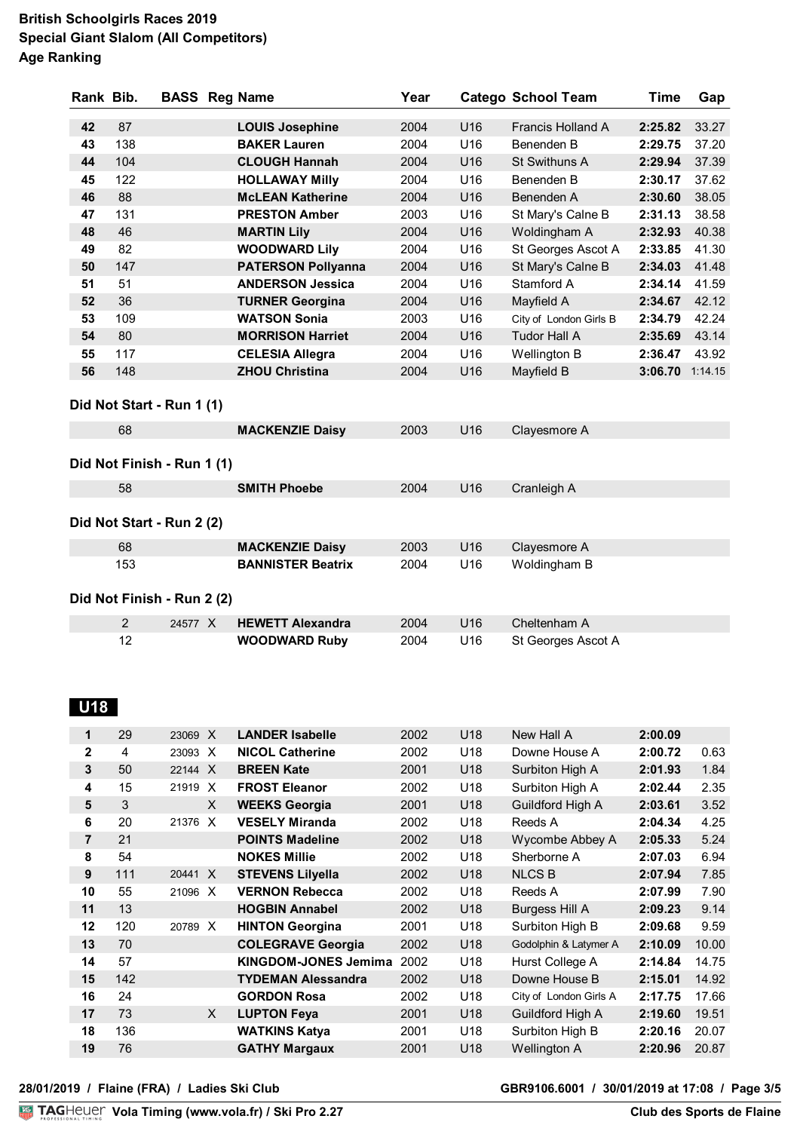| Rank Bib. |     | <b>BASS Reg Name</b>       |                           | Year |     | <b>Catego School Team</b> | Time            | Gap   |
|-----------|-----|----------------------------|---------------------------|------|-----|---------------------------|-----------------|-------|
| 42        | 87  |                            | <b>LOUIS Josephine</b>    | 2004 | U16 | Francis Holland A         | 2:25.82         | 33.27 |
| 43        | 138 |                            | <b>BAKER Lauren</b>       | 2004 | U16 | Benenden B                | 2:29.75         | 37.20 |
| 44        | 104 |                            | <b>CLOUGH Hannah</b>      | 2004 | U16 | St Swithuns A             | 2:29.94         | 37.39 |
| 45        | 122 |                            | <b>HOLLAWAY Milly</b>     | 2004 | U16 | Benenden B                | 2:30.17         | 37.62 |
| 46        | 88  |                            | <b>McLEAN Katherine</b>   | 2004 | U16 | Benenden A                | 2:30.60         | 38.05 |
| 47        | 131 |                            | <b>PRESTON Amber</b>      | 2003 | U16 |                           | 2:31.13         | 38.58 |
| 48        | 46  |                            |                           | 2004 | U16 | St Mary's Calne B         | 2:32.93         | 40.38 |
|           | 82  |                            | <b>MARTIN Lily</b>        |      |     | Woldingham A              |                 |       |
| 49        |     |                            | <b>WOODWARD Lily</b>      | 2004 | U16 | St Georges Ascot A        | 2:33.85         | 41.30 |
| 50        | 147 |                            | <b>PATERSON Pollyanna</b> | 2004 | U16 | St Mary's Calne B         | 2:34.03         | 41.48 |
| 51        | 51  |                            | <b>ANDERSON Jessica</b>   | 2004 | U16 | Stamford A                | 2:34.14         | 41.59 |
| 52        | 36  |                            | <b>TURNER Georgina</b>    | 2004 | U16 | Mayfield A                | 2:34.67         | 42.12 |
| 53        | 109 |                            | <b>WATSON Sonia</b>       | 2003 | U16 | City of London Girls B    | 2:34.79         | 42.24 |
| 54        | 80  |                            | <b>MORRISON Harriet</b>   | 2004 | U16 | <b>Tudor Hall A</b>       | 2:35.69         | 43.14 |
| 55        | 117 |                            | <b>CELESIA Allegra</b>    | 2004 | U16 | Wellington B              | 2:36.47         | 43.92 |
| 56        | 148 |                            | <b>ZHOU Christina</b>     | 2004 | U16 | Mayfield B                | 3:06.70 1:14.15 |       |
|           |     | Did Not Start - Run 1 (1)  |                           |      |     |                           |                 |       |
|           | 68  |                            | <b>MACKENZIE Daisy</b>    | 2003 | U16 | Clayesmore A              |                 |       |
|           |     | Did Not Finish - Run 1 (1) |                           |      |     |                           |                 |       |
|           | 58  |                            | <b>SMITH Phoebe</b>       | 2004 | U16 | Cranleigh A               |                 |       |
|           |     | Did Not Start - Run 2 (2)  |                           |      |     |                           |                 |       |
|           | 68  |                            | <b>MACKENZIE Daisy</b>    | 2003 | U16 | Clayesmore A              |                 |       |
|           | 153 |                            | <b>BANNISTER Beatrix</b>  | 2004 | U16 | Woldingham B              |                 |       |
|           |     | Did Not Finish - Run 2 (2) |                           |      |     |                           |                 |       |
|           | 2   | 24577 X                    | <b>HEWETT Alexandra</b>   | 2004 | U16 | Cheltenham A              |                 |       |
|           | 12  |                            | <b>WOODWARD Ruby</b>      | 2004 | U16 | St Georges Ascot A        |                 |       |

## **U18**

| 1           | 29  | 23069 X               | <b>LANDER Isabelle</b>      | 2002 | U18             | New Hall A             | 2:00.09 |       |
|-------------|-----|-----------------------|-----------------------------|------|-----------------|------------------------|---------|-------|
| $\mathbf 2$ | 4   | 23093<br>$\times$     | <b>NICOL Catherine</b>      | 2002 | U18             | Downe House A          | 2:00.72 | 0.63  |
| 3           | 50  | 22144<br>$\mathsf{X}$ | <b>BREEN Kate</b>           | 2001 | U18             | Surbiton High A        | 2:01.93 | 1.84  |
| 4           | 15  | 21919<br>$\times$     | <b>FROST Eleanor</b>        | 2002 | U18             | Surbiton High A        | 2:02.44 | 2.35  |
| 5           | 3   | X                     | <b>WEEKS Georgia</b>        | 2001 | U18             | Guildford High A       | 2:03.61 | 3.52  |
| 6           | 20  | 21376<br>$\mathsf{x}$ | <b>VESELY Miranda</b>       | 2002 | U18             | Reeds A                | 2:04.34 | 4.25  |
| 7           | 21  |                       | <b>POINTS Madeline</b>      | 2002 | U18             | Wycombe Abbey A        | 2:05.33 | 5.24  |
| 8           | 54  |                       | <b>NOKES Millie</b>         | 2002 | U18             | Sherborne A            | 2:07.03 | 6.94  |
| 9           | 111 | 20441 X               | <b>STEVENS Lilyella</b>     | 2002 | U18             | <b>NLCS B</b>          | 2:07.94 | 7.85  |
| 10          | 55  | 21096 X               | <b>VERNON Rebecca</b>       | 2002 | U18             | Reeds A                | 2:07.99 | 7.90  |
| 11          | 13  |                       | <b>HOGBIN Annabel</b>       | 2002 | U18             | Burgess Hill A         | 2:09.23 | 9.14  |
| 12          | 120 | 20789 X               | <b>HINTON Georgina</b>      | 2001 | U18             | Surbiton High B        | 2:09.68 | 9.59  |
| 13          | 70  |                       | <b>COLEGRAVE Georgia</b>    | 2002 | U18             | Godolphin & Latymer A  | 2:10.09 | 10.00 |
| 14          | 57  |                       | <b>KINGDOM-JONES Jemima</b> | 2002 | U18             | Hurst College A        | 2:14.84 | 14.75 |
| 15          | 142 |                       | <b>TYDEMAN Alessandra</b>   | 2002 | U18             | Downe House B          | 2:15.01 | 14.92 |
| 16          | 24  |                       | <b>GORDON Rosa</b>          | 2002 | U <sub>18</sub> | City of London Girls A | 2:17.75 | 17.66 |
| 17          | 73  | X                     | <b>LUPTON Feya</b>          | 2001 | U18             | Guildford High A       | 2:19.60 | 19.51 |
| 18          | 136 |                       | <b>WATKINS Katya</b>        | 2001 | U18             | Surbiton High B        | 2:20.16 | 20.07 |
| 19          | 76  |                       | <b>GATHY Margaux</b>        | 2001 | U18             | Wellington A           | 2:20.96 | 20.87 |
|             |     |                       |                             |      |                 |                        |         |       |

**VolaSoftControlPdf 28/01/2019 / Flaine (FRA) / Ladies Ski Club GBR9106.6001 / 30/01/2019 at 17:08 / Page 3/5**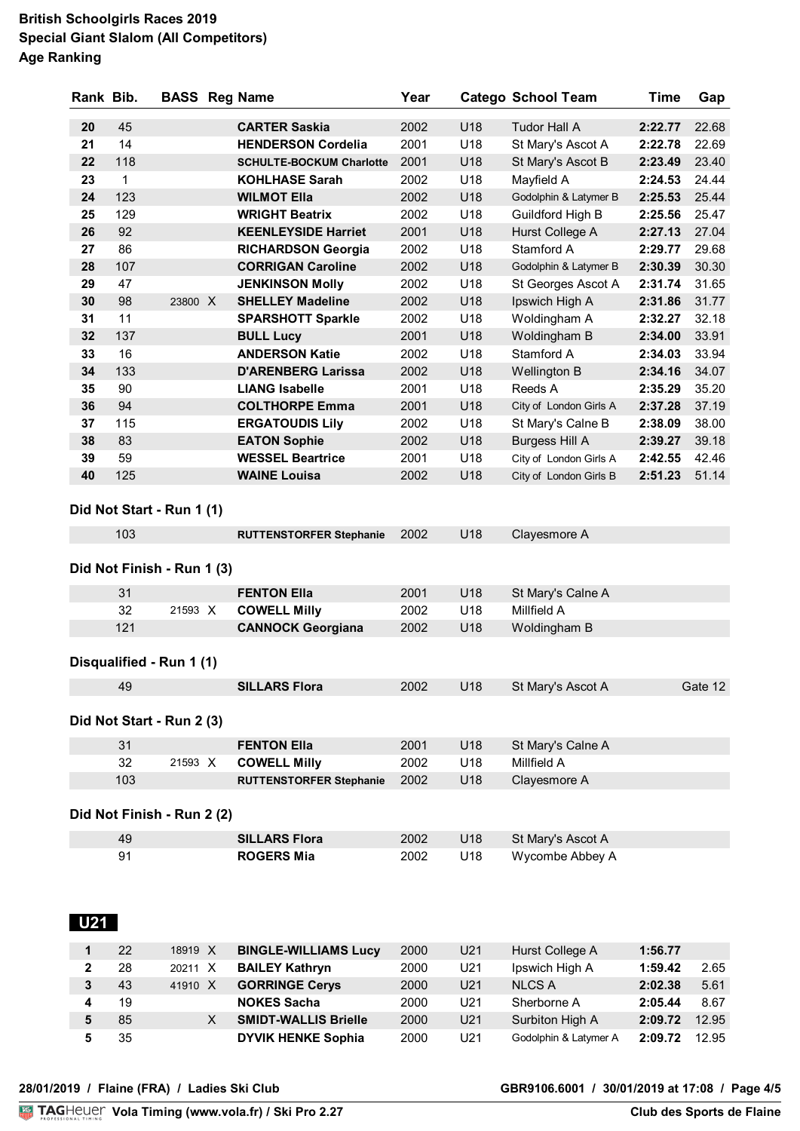| Rank Bib.    |     | <b>BASS Reg Name</b>       |                                 | Year |     | <b>Catego School Team</b> | <b>Time</b> | Gap     |
|--------------|-----|----------------------------|---------------------------------|------|-----|---------------------------|-------------|---------|
| 20           | 45  |                            | <b>CARTER Saskia</b>            | 2002 | U18 | <b>Tudor Hall A</b>       | 2:22.77     | 22.68   |
| 21           | 14  |                            | <b>HENDERSON Cordelia</b>       | 2001 | U18 | St Mary's Ascot A         | 2:22.78     | 22.69   |
| 22           | 118 |                            | <b>SCHULTE-BOCKUM Charlotte</b> | 2001 | U18 | St Mary's Ascot B         | 2:23.49     | 23.40   |
| 23           | 1   |                            | <b>KOHLHASE Sarah</b>           | 2002 | U18 | Mayfield A                | 2:24.53     | 24.44   |
| 24           | 123 |                            | <b>WILMOT Ella</b>              | 2002 | U18 | Godolphin & Latymer B     | 2:25.53     | 25.44   |
| 25           | 129 |                            | <b>WRIGHT Beatrix</b>           | 2002 | U18 | Guildford High B          | 2:25.56     | 25.47   |
| 26           | 92  |                            | <b>KEENLEYSIDE Harriet</b>      | 2001 | U18 | Hurst College A           | 2:27.13     | 27.04   |
| 27           | 86  |                            | <b>RICHARDSON Georgia</b>       | 2002 | U18 | Stamford A                | 2:29.77     | 29.68   |
| 28           | 107 |                            | <b>CORRIGAN Caroline</b>        | 2002 | U18 | Godolphin & Latymer B     | 2:30.39     | 30.30   |
| 29           | 47  |                            | <b>JENKINSON Molly</b>          | 2002 | U18 | St Georges Ascot A        | 2:31.74     | 31.65   |
| 30           | 98  | 23800 X                    | <b>SHELLEY Madeline</b>         | 2002 | U18 | Ipswich High A            | 2:31.86     | 31.77   |
| 31           | 11  |                            | <b>SPARSHOTT Sparkle</b>        | 2002 | U18 | Woldingham A              | 2:32.27     | 32.18   |
| 32           | 137 |                            | <b>BULL Lucy</b>                | 2001 | U18 | Woldingham B              | 2:34.00     | 33.91   |
| 33           | 16  |                            | <b>ANDERSON Katie</b>           | 2002 | U18 | Stamford A                | 2:34.03     | 33.94   |
| 34           | 133 |                            | <b>D'ARENBERG Larissa</b>       | 2002 | U18 | Wellington B              | 2:34.16     | 34.07   |
| 35           | 90  |                            | <b>LIANG Isabelle</b>           | 2001 | U18 | Reeds A                   | 2:35.29     | 35.20   |
| 36           | 94  |                            | <b>COLTHORPE Emma</b>           | 2001 | U18 | City of London Girls A    | 2:37.28     | 37.19   |
| 37           | 115 |                            | <b>ERGATOUDIS Lily</b>          | 2002 | U18 |                           | 2:38.09     | 38.00   |
| 38           | 83  |                            | <b>EATON Sophie</b>             | 2002 | U18 | St Mary's Calne B         | 2:39.27     | 39.18   |
|              | 59  |                            | <b>WESSEL Beartrice</b>         |      | U18 | <b>Burgess Hill A</b>     |             | 42.46   |
| 39<br>40     |     |                            |                                 | 2001 | U18 | City of London Girls A    | 2:42.55     |         |
|              | 125 |                            | <b>WAINE Louisa</b>             | 2002 |     | City of London Girls B    | 2:51.23     | 51.14   |
|              |     | Did Not Start - Run 1 (1)  |                                 |      |     |                           |             |         |
|              | 103 |                            | <b>RUTTENSTORFER Stephanie</b>  | 2002 | U18 | Clayesmore A              |             |         |
|              |     | Did Not Finish - Run 1 (3) |                                 |      |     |                           |             |         |
|              | 31  |                            | <b>FENTON Ella</b>              | 2001 | U18 | St Mary's Calne A         |             |         |
|              | 32  | 21593 X                    | <b>COWELL Milly</b>             | 2002 | U18 | Millfield A               |             |         |
|              | 121 |                            | <b>CANNOCK Georgiana</b>        | 2002 | U18 | Woldingham B              |             |         |
|              |     | Disqualified - Run 1 (1)   |                                 |      |     |                           |             |         |
|              | 49  |                            | <b>SILLARS Flora</b>            | 2002 | U18 | St Mary's Ascot A         |             | Gate 12 |
|              |     | Did Not Start - Run 2 (3)  |                                 |      |     |                           |             |         |
|              | 31  |                            | <b>FENTON Ella</b>              | 2001 | U18 | St Mary's Calne A         |             |         |
|              | 32  | 21593 X                    | <b>COWELL Milly</b>             | 2002 | U18 | Millfield A               |             |         |
|              | 103 |                            | <b>RUTTENSTORFER Stephanie</b>  | 2002 | U18 | Clayesmore A              |             |         |
|              |     |                            |                                 |      |     |                           |             |         |
|              |     | Did Not Finish - Run 2 (2) |                                 |      |     |                           |             |         |
|              | 49  |                            | <b>SILLARS Flora</b>            | 2002 | U18 | St Mary's Ascot A         |             |         |
|              | 91  |                            | <b>ROGERS Mia</b>               | 2002 | U18 | Wycombe Abbey A           |             |         |
| U21          |     |                            |                                 |      |     |                           |             |         |
| 1            | 22  | 18919 X                    | <b>BINGLE-WILLIAMS Lucy</b>     | 2000 | U21 | Hurst College A           | 1:56.77     |         |
| $\mathbf{2}$ | 28  | 20211 X                    | <b>BAILEY Kathryn</b>           | 2000 | U21 | Ipswich High A            | 1:59.42     | 2.65    |
| $\mathbf{3}$ | 43  | 41910 X                    | <b>GORRINGE Cerys</b>           | 2000 | U21 | <b>NLCS A</b>             | 2:02.38     | 5.61    |
| 4            | 19  |                            | <b>NOKES Sacha</b>              | 2000 | U21 | Sherborne A               | 2:05.44     | 8.67    |
|              |     |                            |                                 |      |     |                           |             |         |

 85 X **SMIDT-WALLIS Brielle** 2000 U21 Surbiton High A **2:09.72** 12.95 35 **DYVIK HENKE Sophia** 2000 U21 Godolphin & Latymer A **2:09.72** 12.95